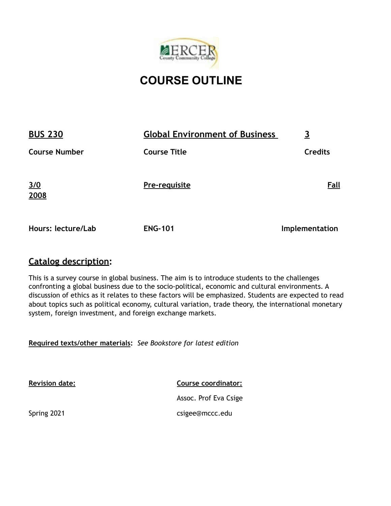

# **COURSE OUTLINE**

| <b>BUS 230</b>       | <b>Global Environment of Business</b> |                |
|----------------------|---------------------------------------|----------------|
| <b>Course Number</b> | <b>Course Title</b>                   | <b>Credits</b> |
| 3/0<br>2008          | Pre-requisite                         | Fall           |
| Hours: lecture/Lab   | <b>ENG-101</b>                        | Implementation |

# **Catalog description:**

This is a survey course in global business. The aim is to introduce students to the challenges confronting a global business due to the socio-political, economic and cultural environments. A discussion of ethics as it relates to these factors will be emphasized. Students are expected to read about topics such as political economy, cultural variation, trade theory, the international monetary system, foreign investment, and foreign exchange markets.

**Required texts/other materials:** *See Bookstore for latest edition* 

**Revision date:** 

**Course coordinator:**

Assoc. Prof Eva Csige csigee@mccc.edu

Spring 2021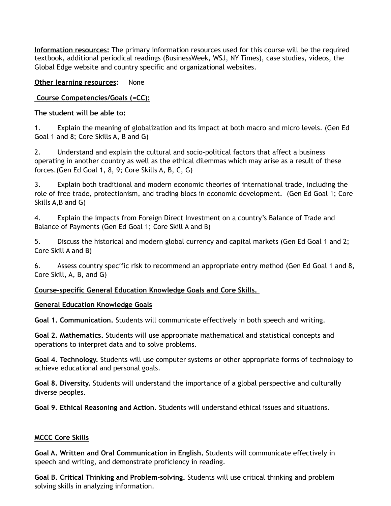**Information resources:** The primary information resources used for this course will be the required textbook, additional periodical readings (BusinessWeek, WSJ, NY Times), case studies, videos, the Global Edge website and country specific and organizational websites.

# **Other learning resources:** None

# **Course Competencies/Goals (=CC):**

**The student will be able to:** 

1. Explain the meaning of globalization and its impact at both macro and micro levels. (Gen Ed Goal 1 and 8; Core Skills A, B and G)

2. Understand and explain the cultural and socio-political factors that affect a business operating in another country as well as the ethical dilemmas which may arise as a result of these forces.(Gen Ed Goal 1, 8, 9; Core Skills A, B, C, G)

3. Explain both traditional and modern economic theories of international trade, including the role of free trade, protectionism, and trading blocs in economic development. (Gen Ed Goal 1; Core Skills A,B and G)

4. Explain the impacts from Foreign Direct Investment on a country's Balance of Trade and Balance of Payments (Gen Ed Goal 1; Core Skill A and B)

5. Discuss the historical and modern global currency and capital markets (Gen Ed Goal 1 and 2; Core Skill A and B)

6. Assess country specific risk to recommend an appropriate entry method (Gen Ed Goal 1 and 8, Core Skill, A, B, and G)

# **Course-specific General Education Knowledge Goals and Core Skills.**

# **General Education Knowledge Goals**

**Goal 1. Communication.** Students will communicate effectively in both speech and writing.

**Goal 2. Mathematics.** Students will use appropriate mathematical and statistical concepts and operations to interpret data and to solve problems.

**Goal 4. Technology.** Students will use computer systems or other appropriate forms of technology to achieve educational and personal goals.

**Goal 8. Diversity.** Students will understand the importance of a global perspective and culturally diverse peoples.

**Goal 9. Ethical Reasoning and Action.** Students will understand ethical issues and situations.

# **MCCC Core Skills**

**Goal A. Written and Oral Communication in English.** Students will communicate effectively in speech and writing, and demonstrate proficiency in reading.

**Goal B. Critical Thinking and Problem-solving.** Students will use critical thinking and problem solving skills in analyzing information.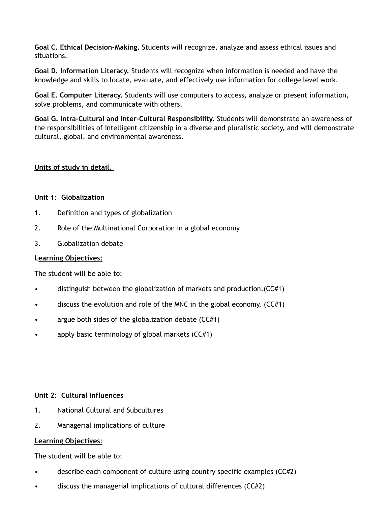**Goal C. Ethical Decision-Making.** Students will recognize, analyze and assess ethical issues and situations.

**Goal D. Information Literacy.** Students will recognize when information is needed and have the knowledge and skills to locate, evaluate, and effectively use information for college level work.

**Goal E. Computer Literacy.** Students will use computers to access, analyze or present information, solve problems, and communicate with others.

**Goal G. Intra-Cultural and Inter-Cultural Responsibility.** Students will demonstrate an awareness of the responsibilities of intelligent citizenship in a diverse and pluralistic society, and will demonstrate cultural, global, and environmental awareness.

# **Units of study in detail.**

#### **Unit 1: Globalization**

- 1. Definition and types of globalization
- 2. Role of the Multinational Corporation in a global economy
- 3. Globalization debate

# **Learning Objectives:**

The student will be able to:

- distinguish between the globalization of markets and production.(CC#1)
- discuss the evolution and role of the MNC in the global economy.  $(CC#1)$
- argue both sides of the globalization debate  $(CC#1)$
- apply basic terminology of global markets (CC#1)

# **Unit 2: Cultural influences**

- 1. National Cultural and Subcultures
- 2. Managerial implications of culture

# **Learning Objectives**:

The student will be able to:

- describe each component of culture using country specific examples (CC#2)
- discuss the managerial implications of cultural differences (CC#2)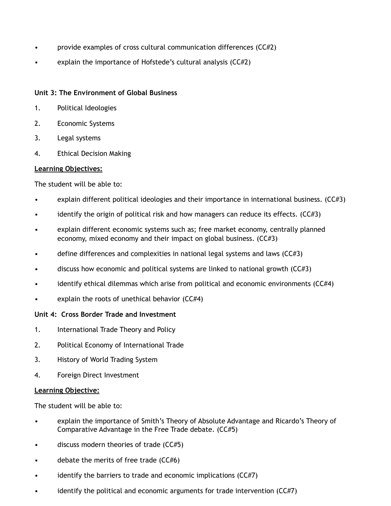- provide examples of cross cultural communication differences (CC#2)
- explain the importance of Hofstede's cultural analysis (CC#2)

# **Unit 3: The Environment of Global Business**

- 1. Political Ideologies
- 2. Economic Systems
- 3. Legal systems
- 4. Ethical Decision Making

#### **Learning Objectives:**

The student will be able to:

- explain different political ideologies and their importance in international business. (CC#3)
- identify the origin of political risk and how managers can reduce its effects.  $(CCE3)$
- explain different economic systems such as; free market economy, centrally planned economy, mixed economy and their impact on global business. (CC#3)
- define differences and complexities in national legal systems and laws (CC#3)
- discuss how economic and political systems are linked to national growth (CC#3)
- identify ethical dilemmas which arise from political and economic environments (CC#4)
- explain the roots of unethical behavior  $(CCH4)$

#### **Unit 4: Cross Border Trade and Investment**

- 1. International Trade Theory and Policy
- 2. Political Economy of International Trade
- 3. History of World Trading System
- 4. Foreign Direct Investment

#### **Learning Objective:**

The student will be able to:

- explain the importance of Smith's Theory of Absolute Advantage and Ricardo's Theory of Comparative Advantage in the Free Trade debate. (CC#5)
- discuss modern theories of trade (CC#5)
- debate the merits of free trade (CC#6)
- identify the barriers to trade and economic implications  $(CC#7)$
- identify the political and economic arguments for trade intervention (CC#7)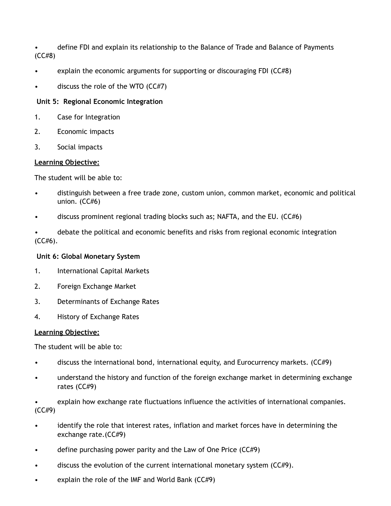• define FDI and explain its relationship to the Balance of Trade and Balance of Payments (CC#8)

- explain the economic arguments for supporting or discouraging FDI (CC#8)
- discuss the role of the WTO  $(CE#7)$

# **Unit 5: Regional Economic Integration**

- 1. Case for Integration
- 2. Economic impacts
- 3. Social impacts

# **Learning Objective:**

The student will be able to:

- distinguish between a free trade zone, custom union, common market, economic and political union. (CC#6)
- discuss prominent regional trading blocks such as; NAFTA, and the EU. (CC#6)
- debate the political and economic benefits and risks from regional economic integration (CC#6).

# **Unit 6: Global Monetary System**

- 1. International Capital Markets
- 2. Foreign Exchange Market
- 3. Determinants of Exchange Rates
- 4. History of Exchange Rates

# **Learning Objective:**

The student will be able to:

- discuss the international bond, international equity, and Eurocurrency markets. (CC#9)
- understand the history and function of the foreign exchange market in determining exchange rates (CC#9)
- explain how exchange rate fluctuations influence the activities of international companies. (CC#9)
- identify the role that interest rates, inflation and market forces have in determining the exchange rate.(CC#9)
- define purchasing power parity and the Law of One Price (CC#9)
- discuss the evolution of the current international monetary system (CC#9).
- explain the role of the IMF and World Bank  $(CC#9)$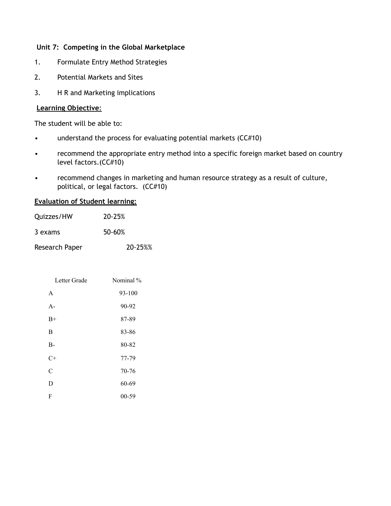# **Unit 7: Competing in the Global Marketplace**

- 1. Formulate Entry Method Strategies
- 2. Potential Markets and Sites
- 3. H R and Marketing implications

# **Learning Objective**:

The student will be able to:

- understand the process for evaluating potential markets (CC#10)
- recommend the appropriate entry method into a specific foreign market based on country level factors.(CC#10)
- recommend changes in marketing and human resource strategy as a result of culture, political, or legal factors. (CC#10)

#### **Evaluation of Student learning:**

| Quizzes/HW     | 20-25%  |
|----------------|---------|
| 3 exams        | 50-60%  |
| Research Paper | 20-25%% |

| Letter Grade | Nominal % |
|--------------|-----------|
| A            | 93-100    |
| $A -$        | 90-92     |
| $B+$         | 87-89     |
| B            | 83-86     |
| $B-$         | 80-82     |
| C+           | 77-79     |
| C            | 70-76     |
| D            | 60-69     |
| F            | 00-59     |